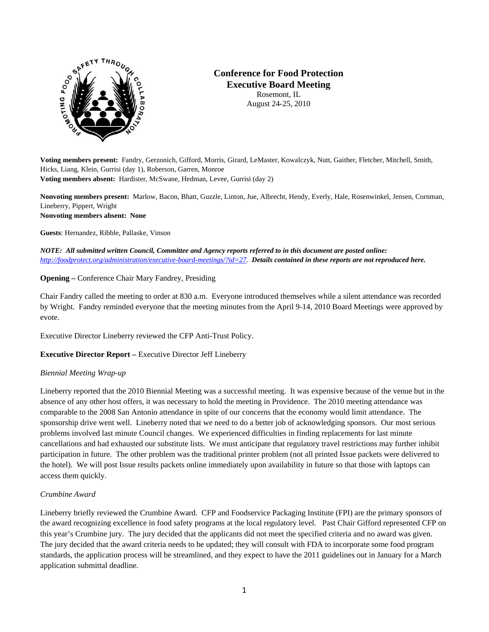

# **Conference for Food Protection Executive Board Meeting**  Rosemont, IL

August 24-25, 2010

**Voting members present:** Fandry, Gerzonich, Gifford, Morris, Girard, LeMaster, Kowalczyk, Nutt, Gaither, Fletcher, Mitchell, Smith, Hicks, Liang, Klein, Gurrisi (day 1), Roberson, Garren, Monroe **Voting members absent:** Hardister, McSwane, Hedman, Levee, Gurrisi (day 2)

**Nonvoting members present:** Marlow, Bacon, Bhatt, Guzzle, Linton, Jue, Albrecht, Hendy, Everly, Hale, Rosenwinkel, Jensen, Cornman, Lineberry, Pippert, Wright **Nonvoting members absent: None**

**Guests**: Hernandez, Ribble, Pallaske, Vinson

*NOTE: All submitted written Council, Committee and Agency reports referred to in this document are posted online: [http://foodprotect.org/administration/executive-board-meetings/?id=27.](http://foodprotect.org/administration/executive-board-meetings/?id=27) Details contained in these reports are not reproduced here.* 

**Opening –** Conference Chair Mary Fandrey, Presiding

Chair Fandry called the meeting to order at 830 a.m. Everyone introduced themselves while a silent attendance was recorded by Wright. Fandry reminded everyone that the meeting minutes from the April 9-14, 2010 Board Meetings were approved by evote.

Executive Director Lineberry reviewed the CFP Anti-Trust Policy.

**Executive Director Report –** Executive Director Jeff Lineberry

### *Biennial Meeting Wrap-up*

Lineberry reported that the 2010 Biennial Meeting was a successful meeting. It was expensive because of the venue but in the absence of any other host offers, it was necessary to hold the meeting in Providence. The 2010 meeting attendance was comparable to the 2008 San Antonio attendance in spite of our concerns that the economy would limit attendance. The sponsorship drive went well. Lineberry noted that we need to do a better job of acknowledging sponsors. Our most serious problems involved last minute Council changes. We experienced difficulties in finding replacements for last minute cancellations and had exhausted our substitute lists. We must anticipate that regulatory travel restrictions may further inhibit participation in future. The other problem was the traditional printer problem (not all printed Issue packets were delivered to the hotel). We will post Issue results packets online immediately upon availability in future so that those with laptops can access them quickly.

### *Crumbine Award*

Lineberry briefly reviewed the Crumbine Award. CFP and Foodservice Packaging Institute (FPI) are the primary sponsors of the award recognizing excellence in food safety programs at the local regulatory level. Past Chair Gifford represented CFP on this year's Crumbine jury. The jury decided that the applicants did not meet the specified criteria and no award was given. The jury decided that the award criteria needs to be updated; they will consult with FDA to incorporate some food program standards, the application process will be streamlined, and they expect to have the 2011 guidelines out in January for a March application submittal deadline.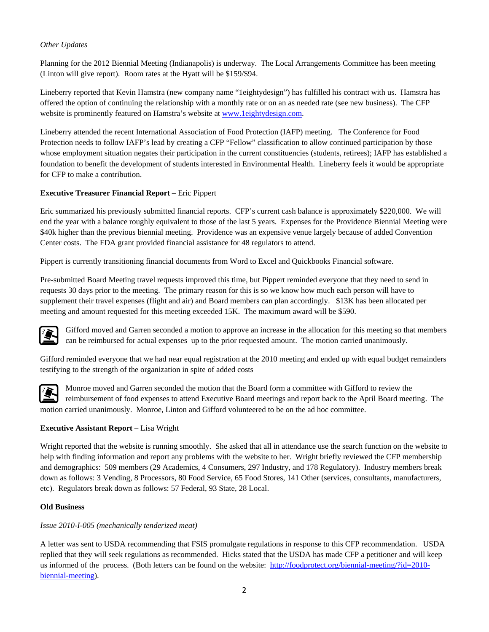### *Other Updates*

Planning for the 2012 Biennial Meeting (Indianapolis) is underway. The Local Arrangements Committee has been meeting (Linton will give report). Room rates at the Hyatt will be \$159/\$94.

Lineberry reported that Kevin Hamstra (new company name "1eightydesign") has fulfilled his contract with us. Hamstra has offered the option of continuing the relationship with a monthly rate or on an as needed rate (see new business). The CFP website is prominently featured on Hamstra's website at www.leightydesign.com.

Lineberry attended the recent International Association of Food Protection (IAFP) meeting. The Conference for Food Protection needs to follow IAFP's lead by creating a CFP "Fellow" classification to allow continued participation by those whose employment situation negates their participation in the current constituencies (students, retirees); IAFP has established a foundation to benefit the development of students interested in Environmental Health. Lineberry feels it would be appropriate for CFP to make a contribution.

### **Executive Treasurer Financial Report** – Eric Pippert

Eric summarized his previously submitted financial reports. CFP's current cash balance is approximately \$220,000. We will end the year with a balance roughly equivalent to those of the last 5 years. Expenses for the Providence Biennial Meeting were \$40k higher than the previous biennial meeting. Providence was an expensive venue largely because of added Convention Center costs. The FDA grant provided financial assistance for 48 regulators to attend.

Pippert is currently transitioning financial documents from Word to Excel and Quickbooks Financial software.

Pre-submitted Board Meeting travel requests improved this time, but Pippert reminded everyone that they need to send in requests 30 days prior to the meeting. The primary reason for this is so we know how much each person will have to supplement their travel expenses (flight and air) and Board members can plan accordingly. \$13K has been allocated per meeting and amount requested for this meeting exceeded 15K. The maximum award will be \$590.



Gifford moved and Garren seconded a motion to approve an increase in the allocation for this meeting so that members can be reimbursed for actual expenses up to the prior requested amount. The motion carried unanimously.

Gifford reminded everyone that we had near equal registration at the 2010 meeting and ended up with equal budget remainders testifying to the strength of the organization in spite of added costs



Monroe moved and Garren seconded the motion that the Board form a committee with Gifford to review the reimbursement of food expenses to attend Executive Board meetings and report back to the April Board meeting. The motion carried unanimously. Monroe, Linton and Gifford volunteered to be on the ad hoc committee.

# **Executive Assistant Report** – Lisa Wright

Wright reported that the website is running smoothly. She asked that all in attendance use the search function on the website to help with finding information and report any problems with the website to her. Wright briefly reviewed the CFP membership and demographics: 509 members (29 Academics, 4 Consumers, 297 Industry, and 178 Regulatory). Industry members break down as follows: 3 Vending, 8 Processors, 80 Food Service, 65 Food Stores, 141 Other (services, consultants, manufacturers, etc). Regulators break down as follows: 57 Federal, 93 State, 28 Local.

### **Old Business**

### *Issue 2010-I-005 (mechanically tenderized meat)*

A letter was sent to USDA recommending that FSIS promulgate regulations in response to this CFP recommendation. USDA replied that they will seek regulations as recommended. Hicks stated that the USDA has made CFP a petitioner and will keep us informed of the process. (Both letters can be found on the website: [http://foodprotect.org/biennial-meeting/?id=2010](http://foodprotect.org/biennial-meeting/?id=2010-biennial-meeting) [biennial-meeting](http://foodprotect.org/biennial-meeting/?id=2010-biennial-meeting)).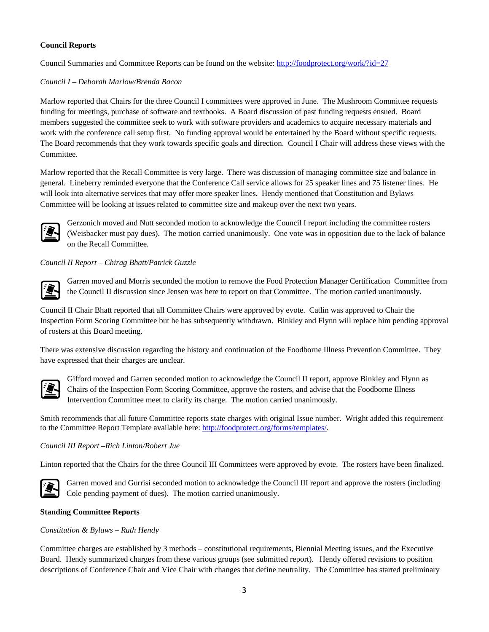### **Council Reports**

Council Summaries and Committee Reports can be found on the website: <http://foodprotect.org/work/?id=27>

### *Council I – Deborah Marlow/Brenda Bacon*

Marlow reported that Chairs for the three Council I committees were approved in June. The Mushroom Committee requests funding for meetings, purchase of software and textbooks. A Board discussion of past funding requests ensued. Board members suggested the committee seek to work with software providers and academics to acquire necessary materials and work with the conference call setup first. No funding approval would be entertained by the Board without specific requests. The Board recommends that they work towards specific goals and direction. Council I Chair will address these views with the Committee.

Marlow reported that the Recall Committee is very large. There was discussion of managing committee size and balance in general. Lineberry reminded everyone that the Conference Call service allows for 25 speaker lines and 75 listener lines. He will look into alternative services that may offer more speaker lines. Hendy mentioned that Constitution and Bylaws Committee will be looking at issues related to committee size and makeup over the next two years.



Gerzonich moved and Nutt seconded motion to acknowledge the Council I report including the committee rosters (Weisbacker must pay dues). The motion carried unanimously. One vote was in opposition due to the lack of balance on the Recall Committee.

# *Council II Report – Chirag Bhatt/Patrick Guzzle*



Garren moved and Morris seconded the motion to remove the Food Protection Manager Certification Committee from the Council II discussion since Jensen was here to report on that Committee. The motion carried unanimously.

Council II Chair Bhatt reported that all Committee Chairs were approved by evote. Catlin was approved to Chair the Inspection Form Scoring Committee but he has subsequently withdrawn. Binkley and Flynn will replace him pending approval of rosters at this Board meeting.

There was extensive discussion regarding the history and continuation of the Foodborne Illness Prevention Committee. They have expressed that their charges are unclear.



Gifford moved and Garren seconded motion to acknowledge the Council II report, approve Binkley and Flynn as Chairs of the Inspection Form Scoring Committee, approve the rosters, and advise that the Foodborne Illness Intervention Committee meet to clarify its charge. The motion carried unanimously.

Smith recommends that all future Committee reports state charges with original Issue number. Wright added this requirement to the Committee Report Template available here:<http://foodprotect.org/forms/templates/>.

### *Council III Report –Rich Linton/Robert Jue*

Linton reported that the Chairs for the three Council III Committees were approved by evote. The rosters have been finalized.



Garren moved and Gurrisi seconded motion to acknowledge the Council III report and approve the rosters (including Cole pending payment of dues). The motion carried unanimously.

### **Standing Committee Reports**

### *Constitution & Bylaws – Ruth Hendy*

Committee charges are established by 3 methods – constitutional requirements, Biennial Meeting issues, and the Executive Board. Hendy summarized charges from these various groups (see submitted report). Hendy offered revisions to position descriptions of Conference Chair and Vice Chair with changes that define neutrality. The Committee has started preliminary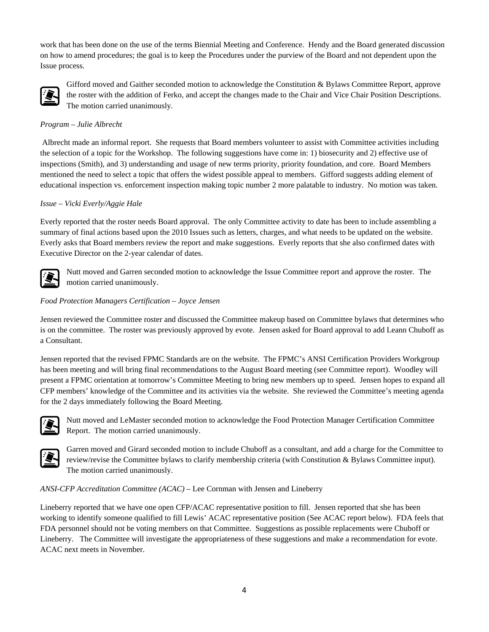work that has been done on the use of the terms Biennial Meeting and Conference. Hendy and the Board generated discussion on how to amend procedures; the goal is to keep the Procedures under the purview of the Board and not dependent upon the Issue process.



Gifford moved and Gaither seconded motion to acknowledge the Constitution & Bylaws Committee Report, approve the roster with the addition of Ferko, and accept the changes made to the Chair and Vice Chair Position Descriptions. The motion carried unanimously.

### *Program – Julie Albrecht*

 Albrecht made an informal report. She requests that Board members volunteer to assist with Committee activities including the selection of a topic for the Workshop. The following suggestions have come in: 1) biosecurity and 2) effective use of inspections (Smith), and 3) understanding and usage of new terms priority, priority foundation, and core. Board Members mentioned the need to select a topic that offers the widest possible appeal to members. Gifford suggests adding element of educational inspection vs. enforcement inspection making topic number 2 more palatable to industry. No motion was taken.

#### *Issue – Vicki Everly/Aggie Hale*

Everly reported that the roster needs Board approval. The only Committee activity to date has been to include assembling a summary of final actions based upon the 2010 Issues such as letters, charges, and what needs to be updated on the website. Everly asks that Board members review the report and make suggestions. Everly reports that she also confirmed dates with Executive Director on the 2-year calendar of dates.



Nutt moved and Garren seconded motion to acknowledge the Issue Committee report and approve the roster. The motion carried unanimously.

#### *Food Protection Managers Certification – Joyce Jensen*

Jensen reviewed the Committee roster and discussed the Committee makeup based on Committee bylaws that determines who is on the committee. The roster was previously approved by evote. Jensen asked for Board approval to add Leann Chuboff as a Consultant.

Jensen reported that the revised FPMC Standards are on the website. The FPMC's ANSI Certification Providers Workgroup has been meeting and will bring final recommendations to the August Board meeting (see Committee report). Woodley will present a FPMC orientation at tomorrow's Committee Meeting to bring new members up to speed. Jensen hopes to expand all CFP members' knowledge of the Committee and its activities via the website. She reviewed the Committee's meeting agenda for the 2 days immediately following the Board Meeting.



Nutt moved and LeMaster seconded motion to acknowledge the Food Protection Manager Certification Committee Report. The motion carried unanimously.



Garren moved and Girard seconded motion to include Chuboff as a consultant, and add a charge for the Committee to review/revise the Committee bylaws to clarify membership criteria (with Constitution & Bylaws Committee input). The motion carried unanimously.

#### *ANSI-CFP Accreditation Committee (ACAC)* – Lee Cornman with Jensen and Lineberry

Lineberry reported that we have one open CFP/ACAC representative position to fill. Jensen reported that she has been working to identify someone qualified to fill Lewis' ACAC representative position (See ACAC report below). FDA feels that FDA personnel should not be voting members on that Committee. Suggestions as possible replacements were Chuboff or Lineberry. The Committee will investigate the appropriateness of these suggestions and make a recommendation for evote. ACAC next meets in November.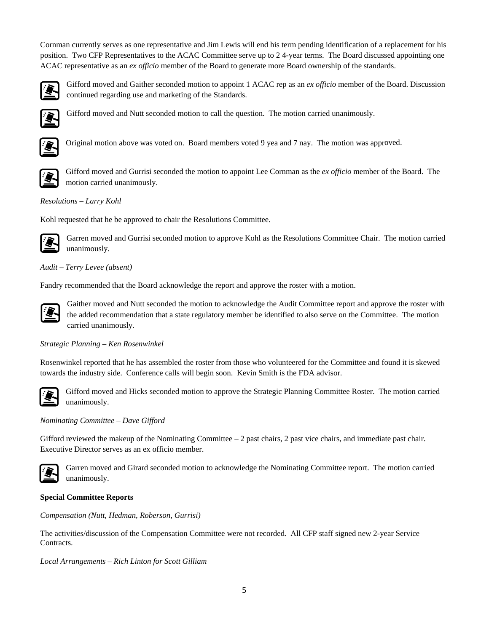Cornman currently serves as one representative and Jim Lewis will end his term pending identification of a replacement for his position. Two CFP Representatives to the ACAC Committee serve up to 2 4-year terms. The Board discussed appointing one ACAC representative as an *ex officio* member of the Board to generate more Board ownership of the standards.



Gifford moved and Gaither seconded motion to appoint 1 ACAC rep as an *ex officio* member of the Board. Discussion continued regarding use and marketing of the Standards.



Gifford moved and Nutt seconded motion to call the question. The motion carried unanimously.



Original motion above was voted on. Board members voted 9 yea and 7 nay. The motion was approved.



motion carried unanimously. Gifford moved and Gurrisi seconded the motion to appoint Lee Cornman as the *ex officio* member of the Board. The

### *Resolutions – Larry Kohl*

Kohl requested that he be approved to chair the Resolutions Committee.



Garren moved and Gurrisi seconded motion to approve Kohl as the Resolutions Committee Chair. The motion carried unanimously.

# *Audit – Terry Levee (absent)*

Fandry recommended that the Board acknowledge the report and approve the roster with a motion.



Gaither moved and Nutt seconded the motion to acknowledge the Audit Committee report and approve the roster with the added recommendation that a state regulatory member be identified to also serve on the Committee. The motion carried unanimously.

### *Strategic Planning – Ken Rosenwinkel*

Rosenwinkel reported that he has assembled the roster from those who volunteered for the Committee and found it is skewed towards the industry side. Conference calls will begin soon. Kevin Smith is the FDA advisor.



Gifford moved and Hicks seconded motion to approve the Strategic Planning Committee Roster. The motion carried unanimously.

### *Nominating Committee – Dave Gifford*

Gifford reviewed the makeup of the Nominating Committee – 2 past chairs, 2 past vice chairs, and immediate past chair. Executive Director serves as an ex officio member.



Garren moved and Girard seconded motion to acknowledge the Nominating Committee report. The motion carried unanimously.

### **Special Committee Reports**

*Compensation (Nutt, Hedman, Roberson, Gurrisi)* 

The activities/discussion of the Compensation Committee were not recorded. All CFP staff signed new 2-year Service Contracts.

*Local Arrangements – Rich Linton for Scott Gilliam*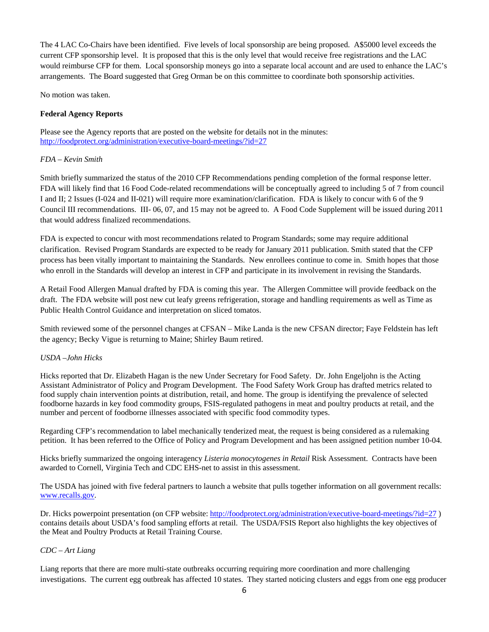The 4 LAC Co-Chairs have been identified. Five levels of local sponsorship are being proposed. A\$5000 level exceeds the current CFP sponsorship level. It is proposed that this is the only level that would receive free registrations and the LAC would reimburse CFP for them. Local sponsorship moneys go into a separate local account and are used to enhance the LAC's arrangements. The Board suggested that Greg Orman be on this committee to coordinate both sponsorship activities.

No motion was taken.

### **Federal Agency Reports**

Please see the Agency reports that are posted on the website for details not in the minutes: <http://foodprotect.org/administration/executive-board-meetings/?id=27>

### *FDA – Kevin Smith*

Smith briefly summarized the status of the 2010 CFP Recommendations pending completion of the formal response letter. FDA will likely find that 16 Food Code-related recommendations will be conceptually agreed to including 5 of 7 from council I and II; 2 Issues (I-024 and II-021) will require more examination/clarification. FDA is likely to concur with 6 of the 9 Council III recommendations. III- 06, 07, and 15 may not be agreed to. A Food Code Supplement will be issued during 2011 that would address finalized recommendations.

FDA is expected to concur with most recommendations related to Program Standards; some may require additional clarification. Revised Program Standards are expected to be ready for January 2011 publication. Smith stated that the CFP process has been vitally important to maintaining the Standards. New enrollees continue to come in. Smith hopes that those who enroll in the Standards will develop an interest in CFP and participate in its involvement in revising the Standards.

A Retail Food Allergen Manual drafted by FDA is coming this year. The Allergen Committee will provide feedback on the draft. The FDA website will post new cut leafy greens refrigeration, storage and handling requirements as well as Time as Public Health Control Guidance and interpretation on sliced tomatos.

Smith reviewed some of the personnel changes at CFSAN – Mike Landa is the new CFSAN director; Faye Feldstein has left the agency; Becky Vigue is returning to Maine; Shirley Baum retired.

### *USDA –John Hicks*

Hicks reported that Dr. Elizabeth Hagan is the new Under Secretary for Food Safety. Dr. John Engeljohn is the Acting Assistant Administrator of Policy and Program Development. The Food Safety Work Group has drafted metrics related to food supply chain intervention points at distribution, retail, and home. The group is identifying the prevalence of selected foodborne hazards in key food commodity groups, FSIS-regulated pathogens in meat and poultry products at retail, and the number and percent of foodborne illnesses associated with specific food commodity types.

Regarding CFP's recommendation to label mechanically tenderized meat, the request is being considered as a rulemaking petition. It has been referred to the Office of Policy and Program Development and has been assigned petition number 10-04.

Hicks briefly summarized the ongoing interagency *Listeria monocytogenes in Retail* Risk Assessment. Contracts have been awarded to Cornell, Virginia Tech and CDC EHS-net to assist in this assessment.

The USDA has joined with five federal partners to launch a website that pulls together information on all government recalls: [www.recalls.gov](http://www.recalls.gov/).

Dr. Hicks powerpoint presentation (on CFP website:<http://foodprotect.org/administration/executive-board-meetings/?id=27>) contains details about USDA's food sampling efforts at retail. The USDA/FSIS Report also highlights the key objectives of the Meat and Poultry Products at Retail Training Course.

# *CDC – Art Liang*

Liang reports that there are more multi-state outbreaks occurring requiring more coordination and more challenging investigations. The current egg outbreak has affected 10 states. They started noticing clusters and eggs from one egg producer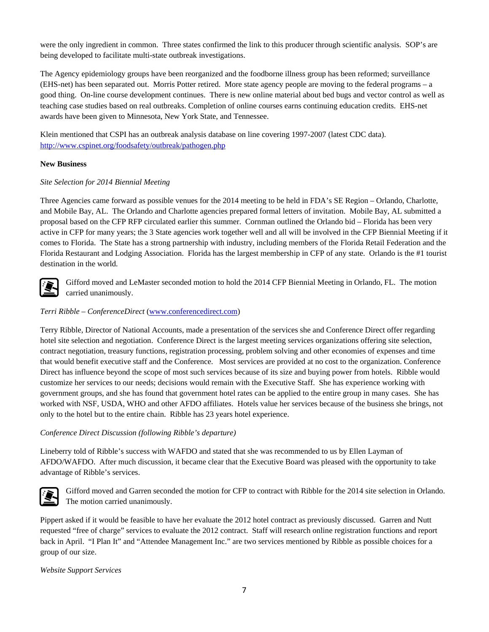were the only ingredient in common. Three states confirmed the link to this producer through scientific analysis. SOP's are being developed to facilitate multi-state outbreak investigations.

The Agency epidemiology groups have been reorganized and the foodborne illness group has been reformed; surveillance (EHS-net) has been separated out. Morris Potter retired. More state agency people are moving to the federal programs – a good thing. On-line course development continues. There is new online material about bed bugs and vector control as well as teaching case studies based on real outbreaks. Completion of online courses earns continuing education credits. EHS-net awards have been given to Minnesota, New York State, and Tennessee.

Klein mentioned that CSPI has an outbreak analysis database on line covering 1997-2007 (latest CDC data). <http://www.cspinet.org/foodsafety/outbreak/pathogen.php>

### **New Business**

### *Site Selection for 2014 Biennial Meeting*

Three Agencies came forward as possible venues for the 2014 meeting to be held in FDA's SE Region – Orlando, Charlotte, and Mobile Bay, AL. The Orlando and Charlotte agencies prepared formal letters of invitation. Mobile Bay, AL submitted a proposal based on the CFP RFP circulated earlier this summer. Cornman outlined the Orlando bid – Florida has been very active in CFP for many years; the 3 State agencies work together well and all will be involved in the CFP Biennial Meeting if it comes to Florida. The State has a strong partnership with industry, including members of the Florida Retail Federation and the Florida Restaurant and Lodging Association. Florida has the largest membership in CFP of any state. Orlando is the #1 tourist destination in the world.



Gifford moved and LeMaster seconded motion to hold the 2014 CFP Biennial Meeting in Orlando, FL. The motion carried unanimously.

### *Terri Ribble – ConferenceDirect* [\(www.conferencedirect.com\)](http://www.conferencedirect.com/)

Terry Ribble, Director of National Accounts, made a presentation of the services she and Conference Direct offer regarding hotel site selection and negotiation. Conference Direct is the largest meeting services organizations offering site selection, contract negotiation, treasury functions, registration processing, problem solving and other economies of expenses and time that would benefit executive staff and the Conference. Most services are provided at no cost to the organization. Conference Direct has influence beyond the scope of most such services because of its size and buying power from hotels. Ribble would customize her services to our needs; decisions would remain with the Executive Staff. She has experience working with government groups, and she has found that government hotel rates can be applied to the entire group in many cases. She has worked with NSF, USDA, WHO and other AFDO affiliates. Hotels value her services because of the business she brings, not only to the hotel but to the entire chain. Ribble has 23 years hotel experience.

### *Conference Direct Discussion (following Ribble's departure)*

Lineberry told of Ribble's success with WAFDO and stated that she was recommended to us by Ellen Layman of AFDO/WAFDO. After much discussion, it became clear that the Executive Board was pleased with the opportunity to take advantage of Ribble's services.



Gifford moved and Garren seconded the motion for CFP to contract with Ribble for the 2014 site selection in Orlando. The motion carried unanimously.

Pippert asked if it would be feasible to have her evaluate the 2012 hotel contract as previously discussed. Garren and Nutt requested "free of charge" services to evaluate the 2012 contract. Staff will research online registration functions and report back in April. "I Plan It" and "Attendee Management Inc." are two services mentioned by Ribble as possible choices for a group of our size.

*Website Support Services*